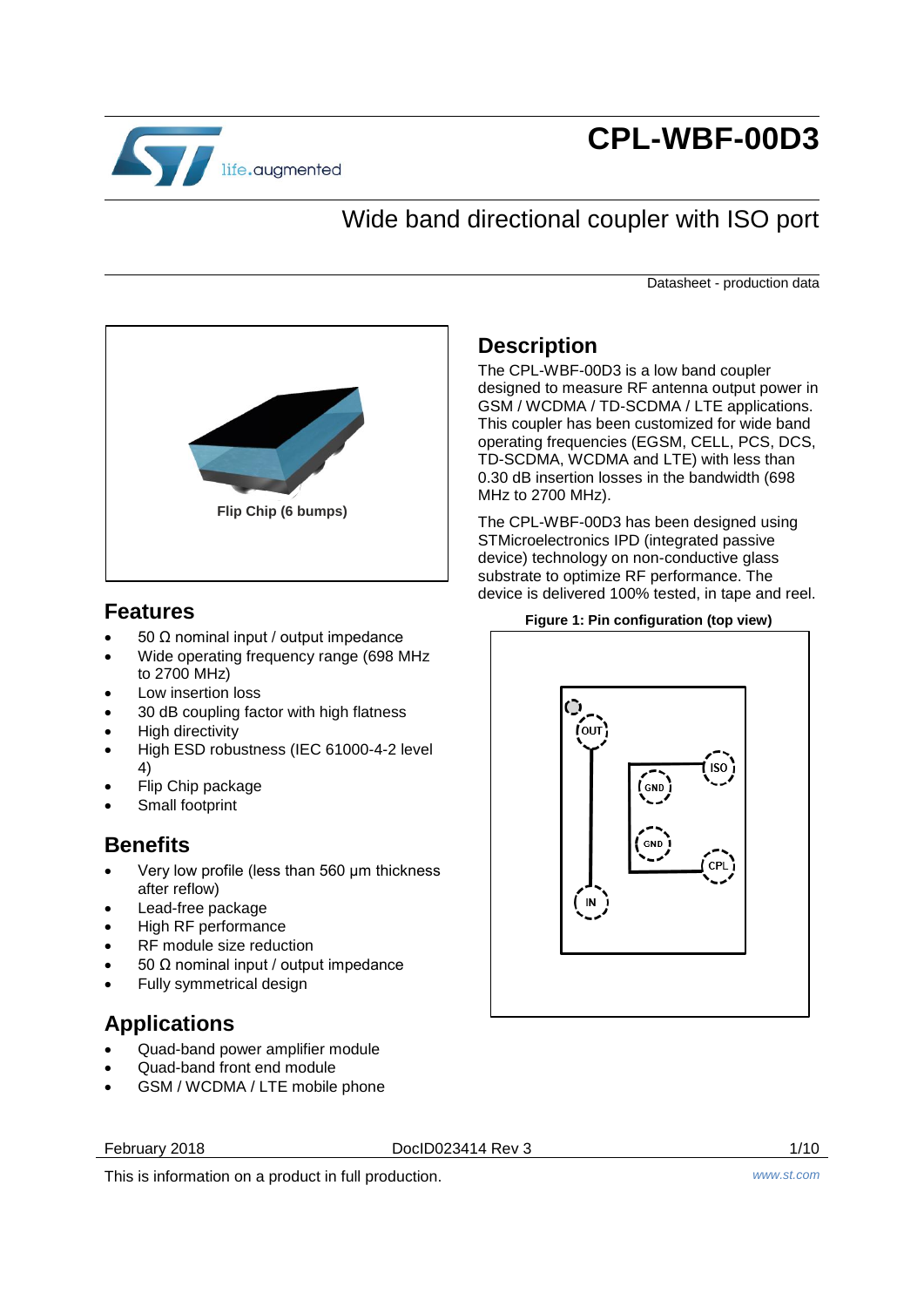

# **CPL-WBF-00D3**

# Wide band directional coupler with ISO port

Datasheet - production data



## **Features**

- 50 Ω nominal input / output impedance
- Wide operating frequency range (698 MHz to 2700 MHz)
- Low insertion loss
- 30 dB coupling factor with high flatness
- High directivity
- High ESD robustness (IEC 61000-4-2 level 4)
- Flip Chip package
- Small footprint

## **Benefits**

- Very low profile (less than 560 μm thickness after reflow)
- Lead-free package
- High RF performance
- RF module size reduction
- 50 Ω nominal input / output impedance
- Fully symmetrical design

## **Applications**

- Quad-band power amplifier module
- Quad-band front end module
- GSM / WCDMA / LTE mobile phone

February 2018 DocID023414 Rev 3 1/10



This is information on a product in full production. *www.st.com*

## **Description**

The CPL-WBF-00D3 is a low band coupler designed to measure RF antenna output power in GSM / WCDMA / TD-SCDMA / LTE applications. This coupler has been customized for wide band operating frequencies (EGSM, CELL, PCS, DCS, TD-SCDMA, WCDMA and LTE) with less than 0.30 dB insertion losses in the bandwidth (698 MHz to 2700 MHz).

The CPL-WBF-00D3 has been designed using STMicroelectronics IPD (integrated passive device) technology on non-conductive glass substrate to optimize RF performance. The device is delivered 100% tested, in tape and reel.

#### **Figure 1: Pin configuration (top view)**

<span id="page-0-0"></span>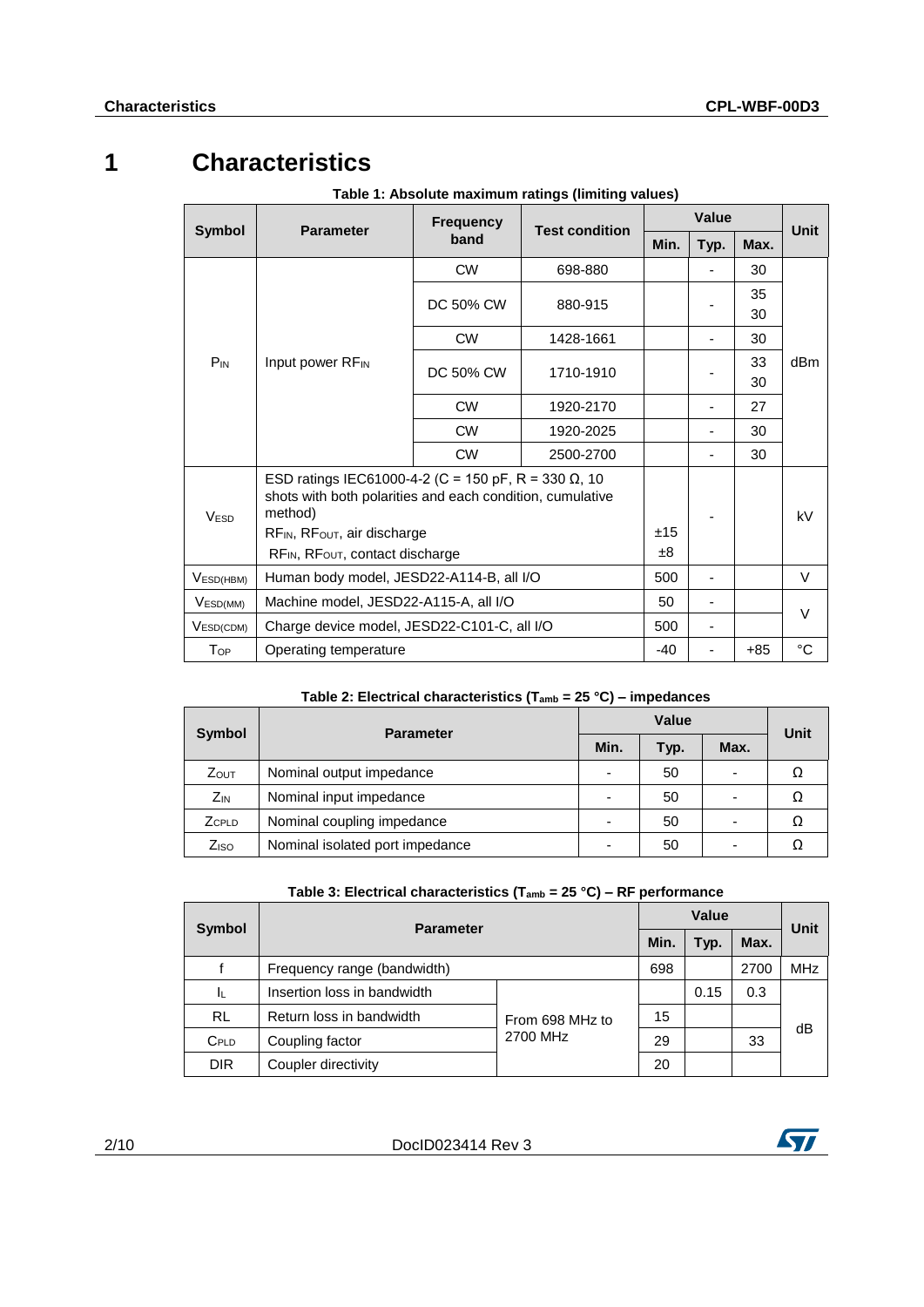# **1 Characteristics**

|                       | <b>Frequency</b>                                                     |           |           |         | <b>Value</b> |      |             |  |
|-----------------------|----------------------------------------------------------------------|-----------|-----------|---------|--------------|------|-------------|--|
| <b>Symbol</b>         | <b>Test condition</b><br><b>Parameter</b><br>band                    |           |           |         | Typ.         | Max. | Unit        |  |
|                       |                                                                      | <b>CW</b> | 698-880   |         |              | 30   |             |  |
|                       |                                                                      | DC 50% CW | 880-915   |         |              | 35   |             |  |
|                       |                                                                      |           |           |         |              | 30   |             |  |
|                       |                                                                      | <b>CW</b> | 1428-1661 |         |              | 30   |             |  |
| $P_{IN}$              | Input power RF <sub>IN</sub>                                         | DC 50% CW | 1710-1910 |         |              | 33   | dBm         |  |
|                       | <b>CW</b>                                                            |           |           |         |              | 30   |             |  |
|                       |                                                                      | 1920-2170 |           |         | 27           |      |             |  |
|                       |                                                                      | <b>CW</b> | 1920-2025 |         |              | 30   |             |  |
|                       |                                                                      |           |           | 30      |              |      |             |  |
|                       | ESD ratings IEC61000-4-2 (C = 150 pF, R = 330 $\Omega$ , 10          |           |           |         |              |      |             |  |
| <b>VESD</b>           | shots with both polarities and each condition, cumulative<br>method) |           |           |         |              |      |             |  |
|                       | $RF_{IN}$ , $RF_{OUT}$ , air discharge                               |           |           | ±15     |              |      | kV          |  |
|                       | RF <sub>IN</sub> , RF <sub>OUT</sub> , contact discharge             |           |           | $\pm 8$ |              |      |             |  |
| V <sub>ESD(HBM)</sub> | Human body model, JESD22-A114-B, all I/O                             |           |           | 500     |              |      | $\vee$      |  |
| V <sub>ESD(MM)</sub>  | Machine model, JESD22-A115-A, all I/O                                |           |           | 50      |              |      |             |  |
| VESD(CDM)             | Charge device model, JESD22-C101-C, all I/O                          |           |           | 500     |              |      | V           |  |
| $T_{OP}$              | Operating temperature                                                |           |           | -40     |              | +85  | $^{\circ}C$ |  |

**Table 1: Absolute maximum ratings (limiting values)**

## **Table 2: Electrical characteristics (Tamb = 25 °C) – impedances**

|                  | <b>Parameter</b>                |                          | Unit |      |    |  |
|------------------|---------------------------------|--------------------------|------|------|----|--|
| Symbol           |                                 | Min.                     | Typ. | Max. |    |  |
| <b>ZOUT</b>      | Nominal output impedance        | $\overline{\phantom{0}}$ | 50   |      |    |  |
| $Z_{IN}$         | Nominal input impedance         | -                        | 50   |      | Ω  |  |
| ZCPLD            | Nominal coupling impedance      | $\overline{\phantom{0}}$ | 50   |      | Ω  |  |
| Z <sub>ISO</sub> | Nominal isolated port impedance | -                        | 50   |      | 77 |  |

| Table 3: Electrical characteristics ( $T_{amb} = 25 °C$ ) – RF performance |
|----------------------------------------------------------------------------|
|----------------------------------------------------------------------------|

|            | <b>Parameter</b>            | Value           |    |      | Unit |            |
|------------|-----------------------------|-----------------|----|------|------|------------|
| Symbol     |                             |                 |    | Typ. | Max. |            |
|            | Frequency range (bandwidth) |                 |    |      | 2700 | <b>MHz</b> |
| ΙL         | Insertion loss in bandwidth |                 |    | 0.15 | 0.3  |            |
| <b>RL</b>  | Return loss in bandwidth    | From 698 MHz to | 15 |      |      | dB         |
| $C_{PLD}$  | Coupling factor             | 2700 MHz        | 29 |      | 33   |            |
| <b>DIR</b> | Coupler directivity         |                 | 20 |      |      |            |

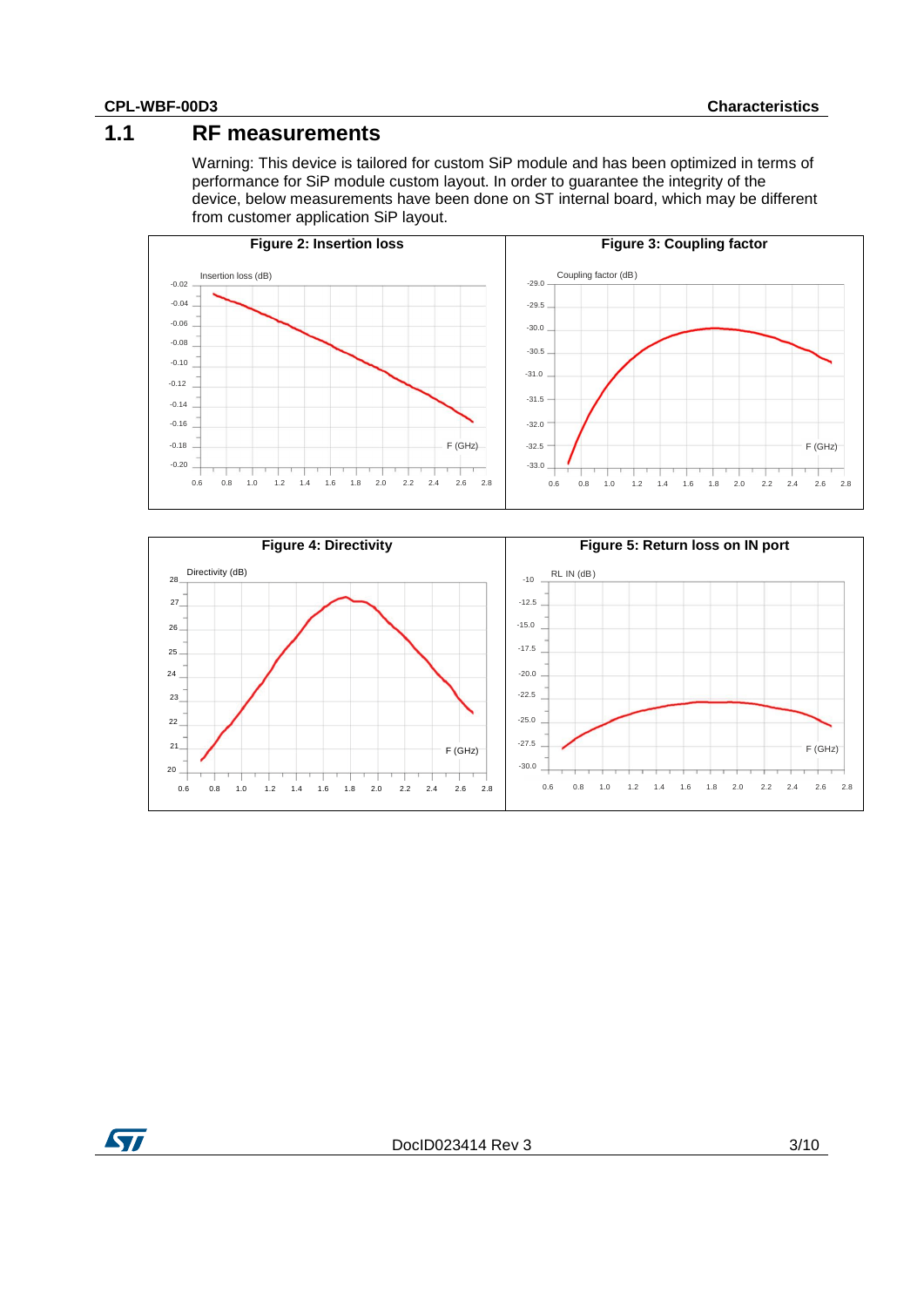## **1.1 RF measurements**

Warning: This device is tailored for custom SiP module and has been optimized in terms of performance for SiP module custom layout. In order to guarantee the integrity of the device, below measurements have been done on ST internal board, which may be different from customer application SiP layout.





**ST**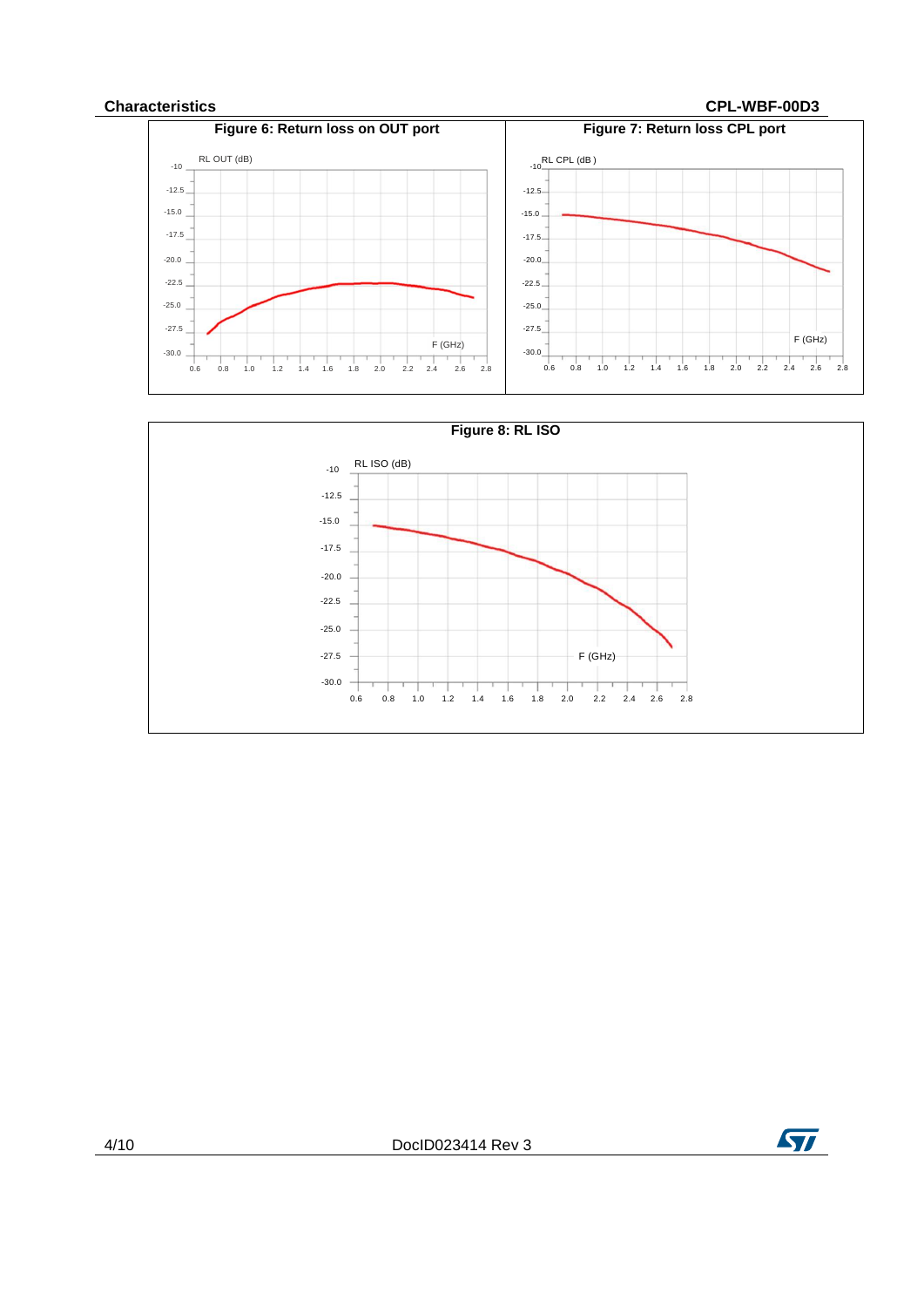#### **Characteristics CPL-WBF-00D3**





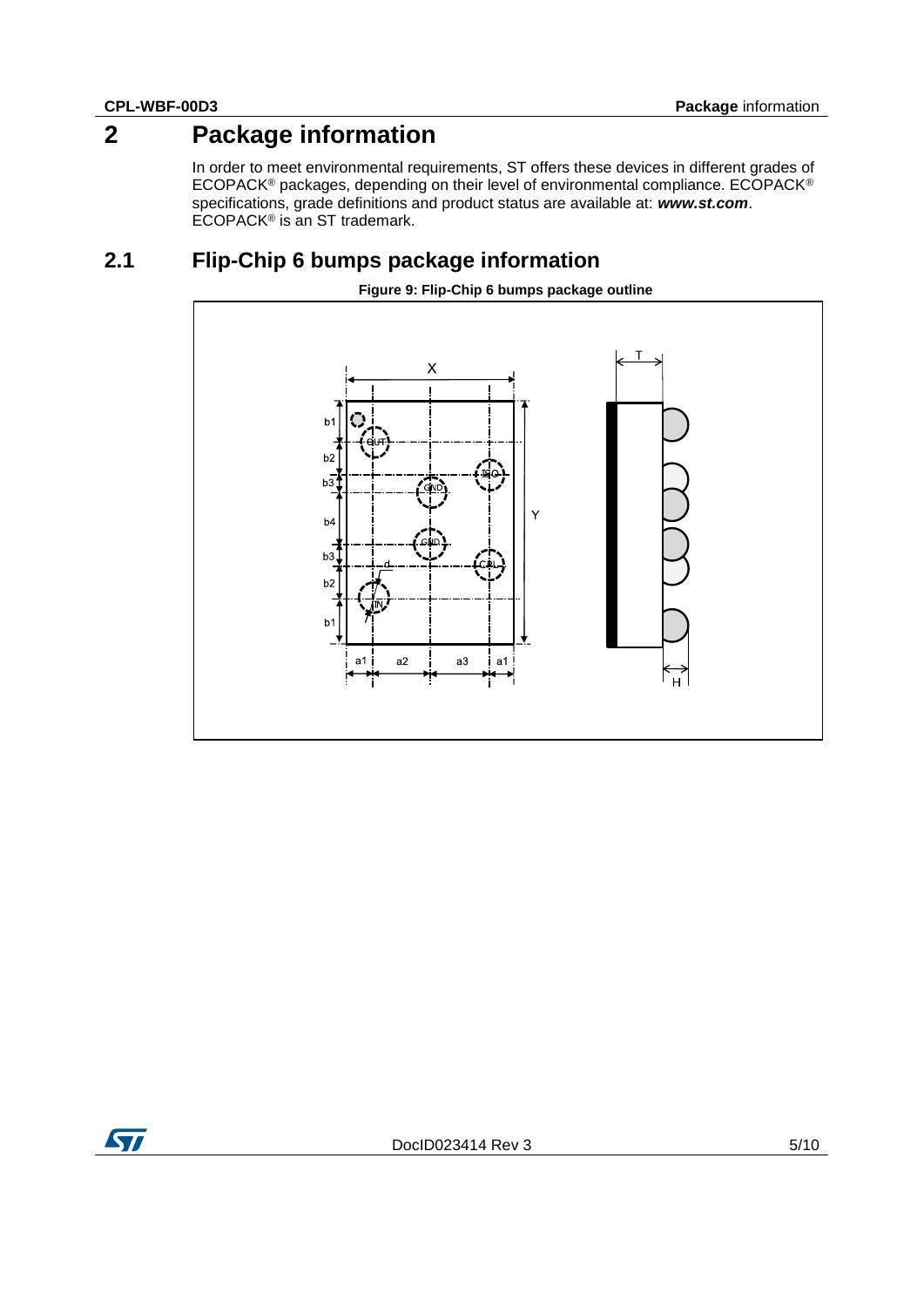# **2 Package information**

In order to meet environmental requirements, ST offers these devices in different grades of ECOPACK® packages, depending on their level of environmental compliance. ECOPACK® specifications, grade definitions and product status are available at: *www.st.com*. ECOPACK® is an ST trademark.

## **2.1 Flip-Chip 6 bumps package information**

<span id="page-4-0"></span>

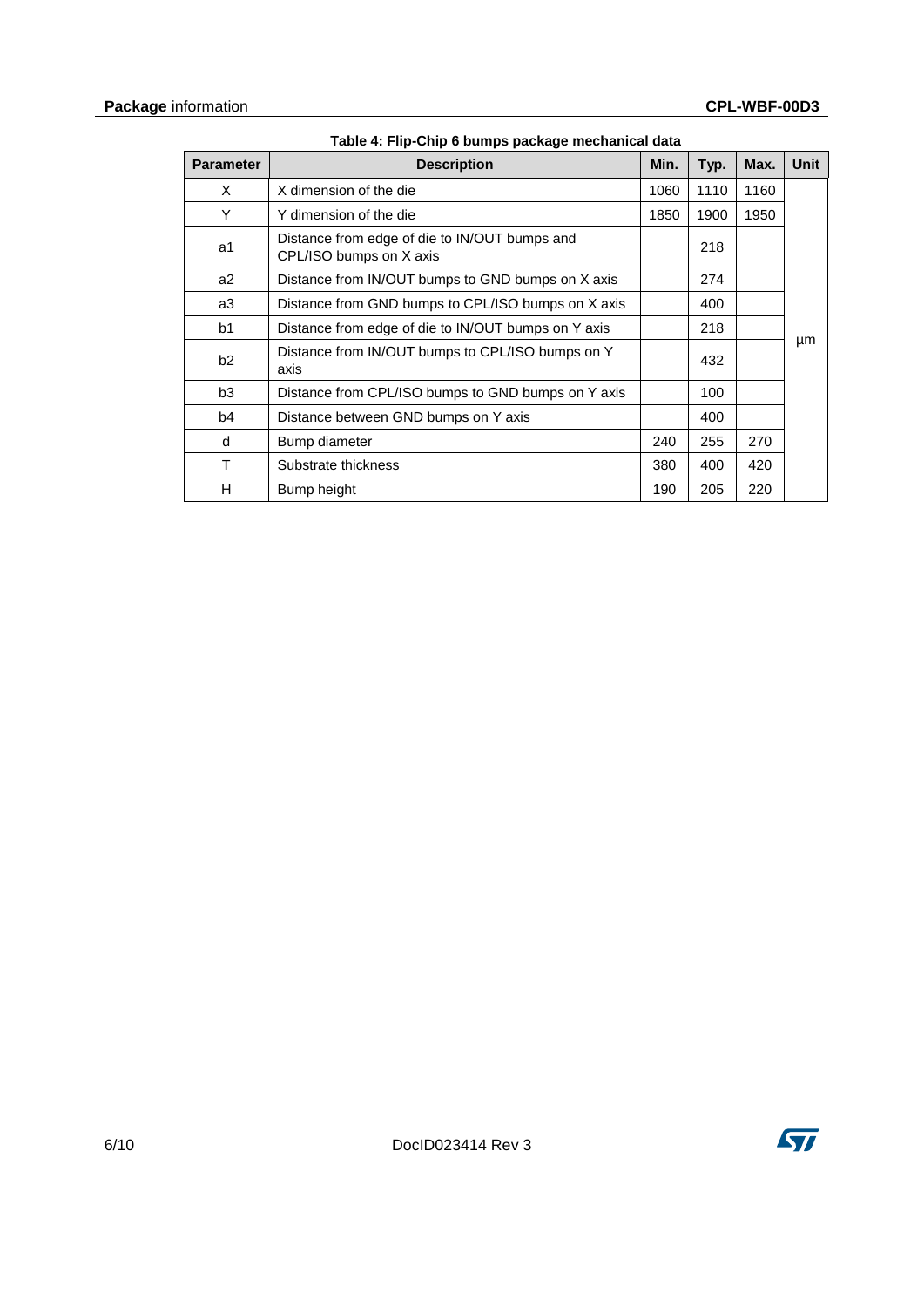<span id="page-5-0"></span>

| <b>Parameter</b> | <b>Description</b>                                                       | Min. | Typ. | Max. | <b>Unit</b> |
|------------------|--------------------------------------------------------------------------|------|------|------|-------------|
| X                | X dimension of the die                                                   | 1060 | 1110 | 1160 |             |
| Y                | Y dimension of the die                                                   | 1850 | 1900 | 1950 |             |
| a1               | Distance from edge of die to IN/OUT bumps and<br>CPL/ISO bumps on X axis |      | 218  |      |             |
| a2               | Distance from IN/OUT bumps to GND bumps on X axis                        |      | 274  |      |             |
| a3               | Distance from GND bumps to CPL/ISO bumps on X axis                       |      | 400  |      |             |
| b <sub>1</sub>   | Distance from edge of die to IN/OUT bumps on Y axis                      |      | 218  |      |             |
| b2               | Distance from IN/OUT bumps to CPL/ISO bumps on Y<br>axis                 |      | 432  |      | μm          |
| b3               | Distance from CPL/ISO bumps to GND bumps on Y axis                       |      | 100  |      |             |
| b <sub>4</sub>   | Distance between GND bumps on Y axis                                     |      | 400  |      |             |
| d                | Bump diameter                                                            | 240  | 255  | 270  |             |
| T                | Substrate thickness                                                      | 380  | 400  | 420  |             |
| н                | Bump height                                                              | 190  | 205  | 220  |             |

**Table 4: Flip-Chip 6 bumps package mechanical data**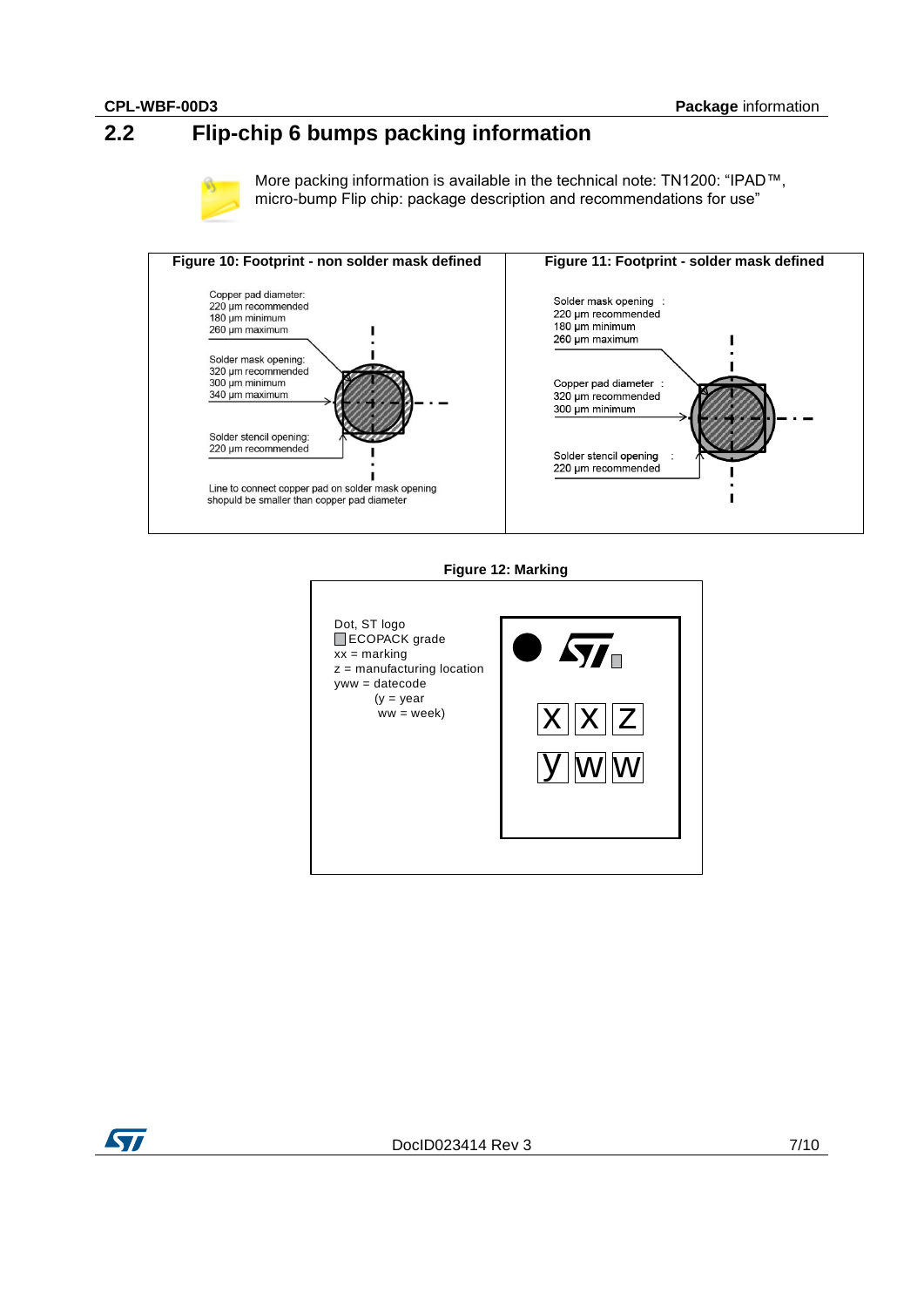# **2.2 Flip-chip 6 bumps packing information**



More packing information is available in the technical note: TN1200: "IPAD™, micro-bump Flip chip: package description and recommendations for use"



#### **Figure 12: Marking**



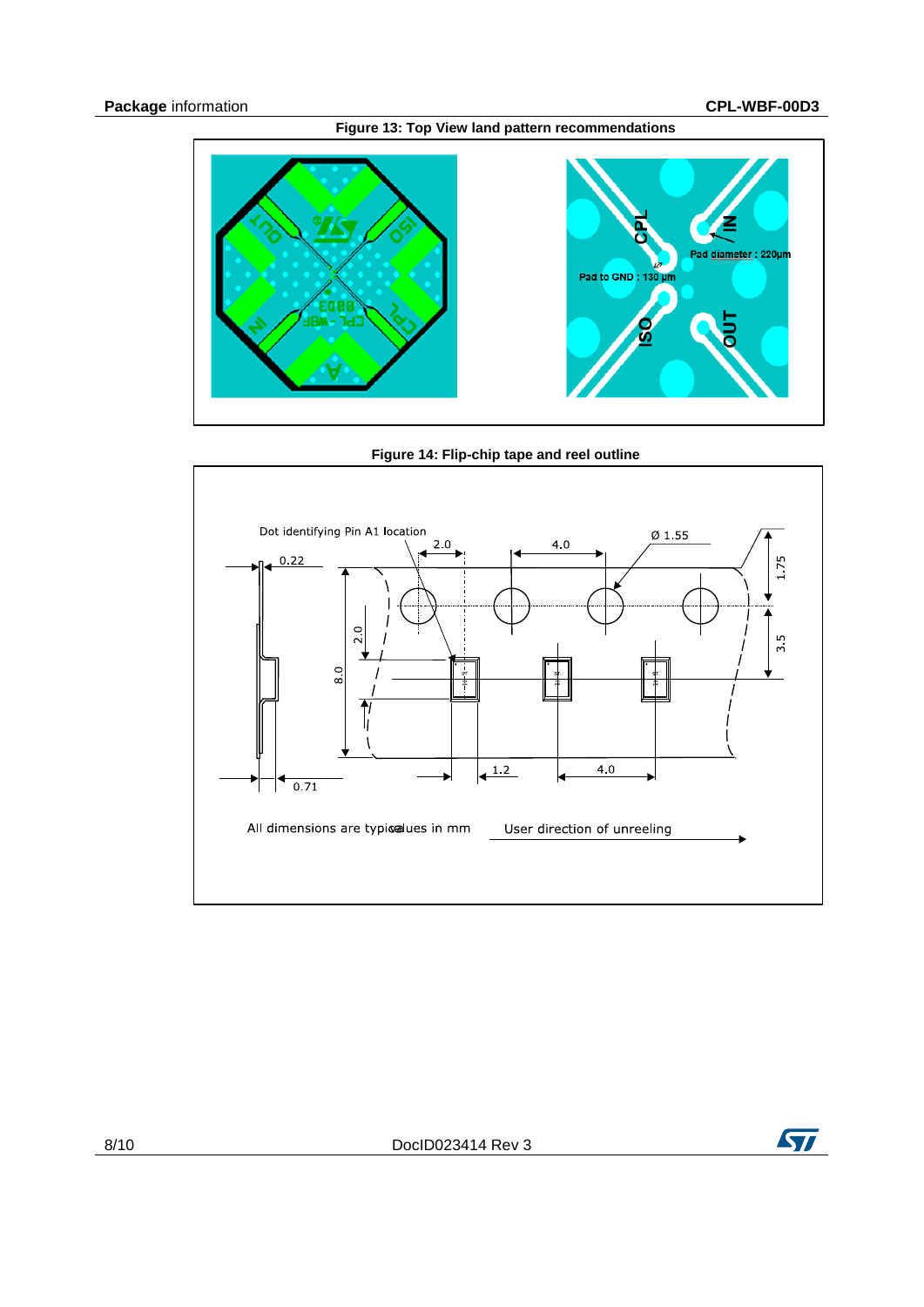

<span id="page-7-0"></span>





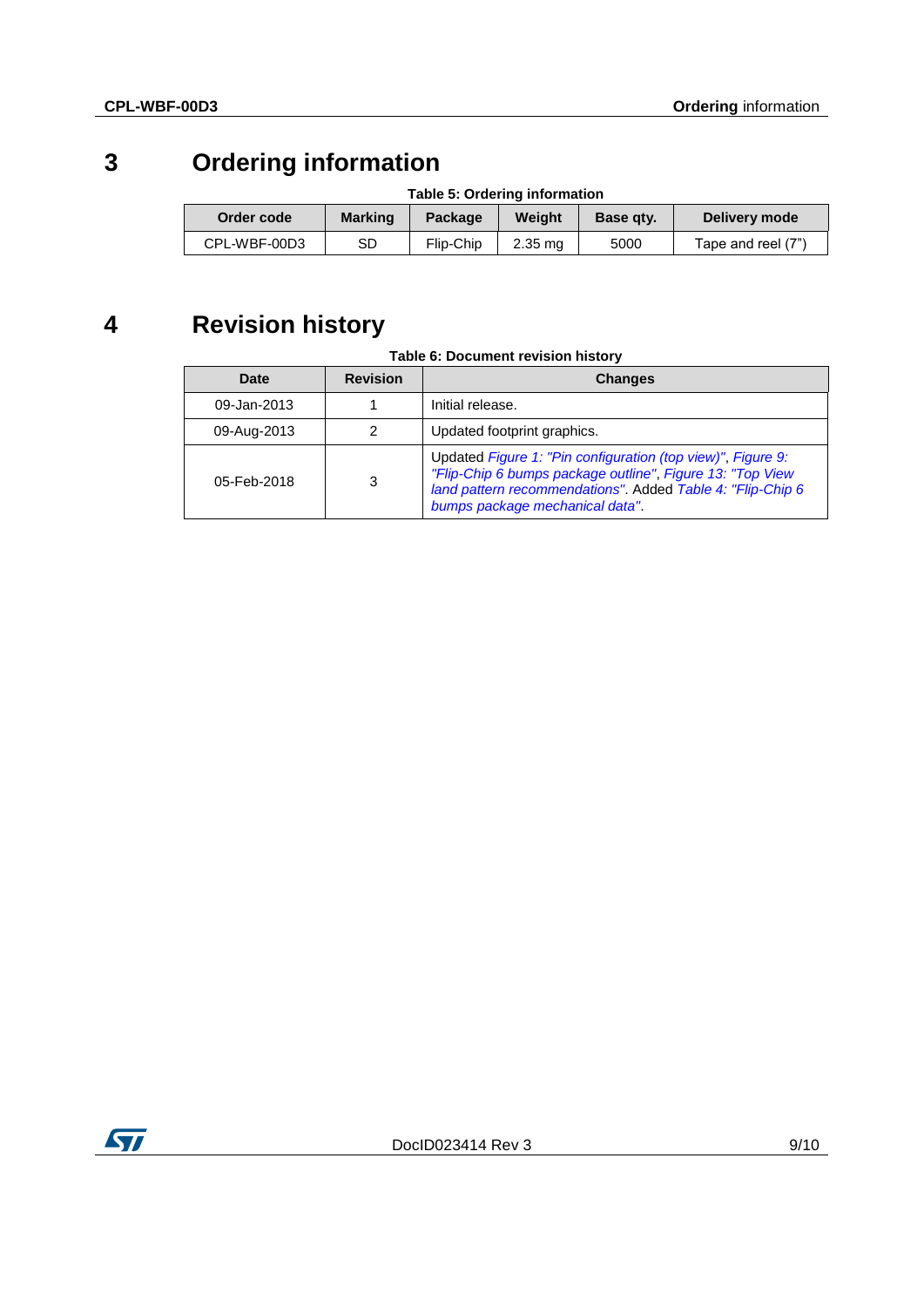# **3 Ordering information**

| <b>Table 3. Orderling implifiation</b> |                |           |           |                  |                    |  |  |
|----------------------------------------|----------------|-----------|-----------|------------------|--------------------|--|--|
| Order code                             | <b>Marking</b> | Package   | Weiaht    | <b>Base gty.</b> | Delivery mode      |  |  |
| CPL-WBF-00D3                           | SD             | Flip-Chip | $2.35$ ma | 5000             | Tape and reel (7") |  |  |

## **Table 5: Ordering information**

# **4 Revision history**

#### **Table 6: Document revision history**

| Date        | <b>Revision</b> | <b>Changes</b>                                                                                                                                                                                                            |
|-------------|-----------------|---------------------------------------------------------------------------------------------------------------------------------------------------------------------------------------------------------------------------|
| 09-Jan-2013 |                 | Initial release.                                                                                                                                                                                                          |
| 09-Aug-2013 |                 | Updated footprint graphics.                                                                                                                                                                                               |
| 05-Feb-2018 | 3               | Updated Figure 1: "Pin configuration (top view)", Figure 9:<br>"Flip-Chip 6 bumps package outline", Figure 13: "Top View<br>land pattern recommendations". Added Table 4: "Flip-Chip 6<br>bumps package mechanical data". |

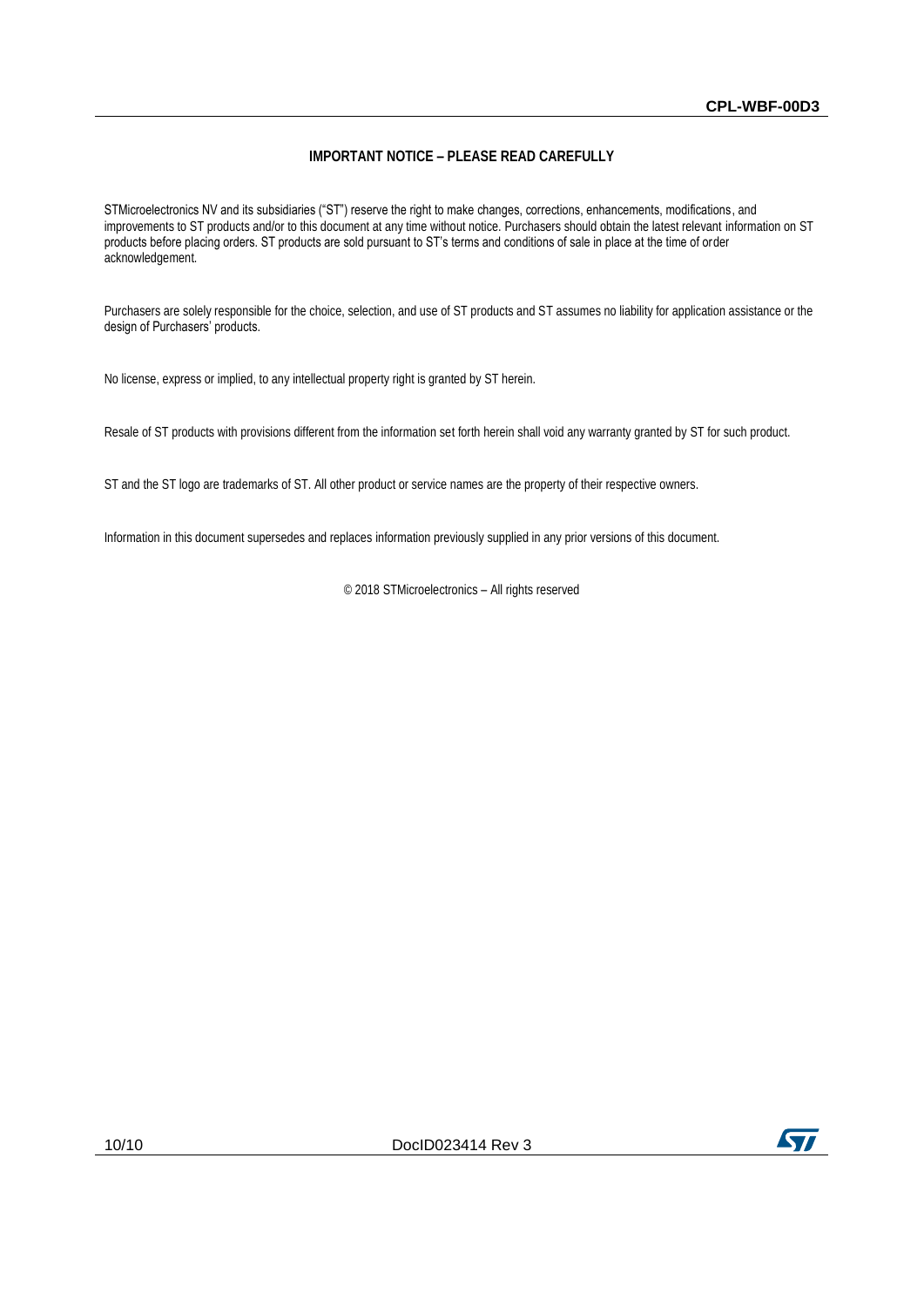#### **IMPORTANT NOTICE – PLEASE READ CAREFULLY**

STMicroelectronics NV and its subsidiaries ("ST") reserve the right to make changes, corrections, enhancements, modifications, and improvements to ST products and/or to this document at any time without notice. Purchasers should obtain the latest relevant information on ST products before placing orders. ST products are sold pursuant to ST's terms and conditions of sale in place at the time of order acknowledgement.

Purchasers are solely responsible for the choice, selection, and use of ST products and ST assumes no liability for application assistance or the design of Purchasers' products.

No license, express or implied, to any intellectual property right is granted by ST herein.

Resale of ST products with provisions different from the information set forth herein shall void any warranty granted by ST for such product.

ST and the ST logo are trademarks of ST. All other product or service names are the property of their respective owners.

Information in this document supersedes and replaces information previously supplied in any prior versions of this document.

© 2018 STMicroelectronics – All rights reserved